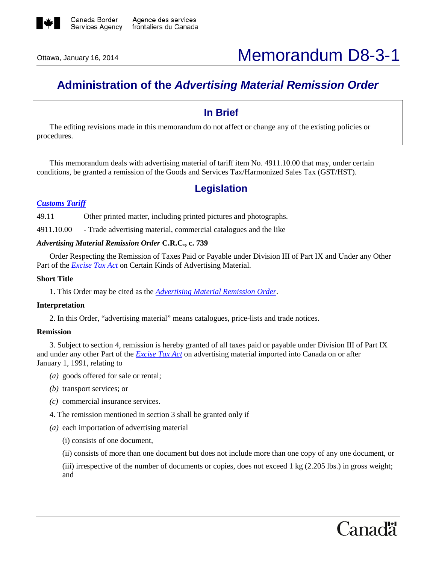

# **Administration of the** *Advertising Material Remission Order*

### **In Brief**

The editing revisions made in this memorandum do not affect or change any of the existing policies or procedures.

This memorandum deals with advertising material of tariff item No. 4911.10.00 that may, under certain conditions, be granted a remission of the Goods and Services Tax/Harmonized Sales Tax (GST/HST).

## **Legislation**

#### *[Customs Tariff](http://www.cbsa-asfc.gc.ca/trade-commerce/tariff-tarif/)*

49.11 Other printed matter, including printed pictures and photographs.

4911.10.00 - Trade advertising material, commercial catalogues and the like

#### *Advertising Material Remission Order* **C.R.C., c. 739**

Order Respecting the Remission of Taxes Paid or Payable under Division III of Part IX and Under any Other Part of the *[Excise Tax Act](http://laws-lois.justice.gc.ca/eng/acts/E-15/FullText.html)* on Certain Kinds of Advertising Material.

### **Short Title**

1. This Order may be cited as the *[Advertising Material Remission Order](http://laws-lois.justice.gc.ca/eng/regulations/C.R.C.,_c._739/FullText.html)*.

#### **Interpretation**

2. In this Order, "advertising material" means catalogues, price-lists and trade notices.

#### **Remission**

3. Subject to section 4, remission is hereby granted of all taxes paid or payable under Division III of Part IX and under any other Part of the *[Excise Tax Act](http://laws-lois.justice.gc.ca/eng/acts/E-15/FullText.html)* on advertising material imported into Canada on or after January 1, 1991, relating to

- *(a)* goods offered for sale or rental;
- *(b)* transport services; or
- *(c)* commercial insurance services.
- 4. The remission mentioned in section 3 shall be granted only if
- *(a)* each importation of advertising material
	- (i) consists of one document,
	- (ii) consists of more than one document but does not include more than one copy of any one document, or
	- (iii) irrespective of the number of documents or copies, does not exceed 1 kg (2.205 lbs.) in gross weight; and

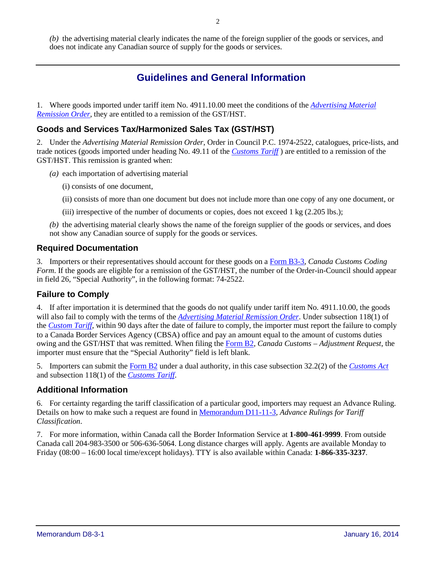*(b)* the advertising material clearly indicates the name of the foreign supplier of the goods or services, and does not indicate any Canadian source of supply for the goods or services.

# **Guidelines and General Information**

1. Where goods imported under tariff item No. 4911.10.00 meet the conditions of the *[Advertising Material](http://laws-lois.justice.gc.ca/eng/regulations/C.R.C.,_c._739/FullText.html)  [Remission Order](http://laws-lois.justice.gc.ca/eng/regulations/C.R.C.,_c._739/FullText.html)*, they are entitled to a remission of the GST/HST.

### **Goods and Services Tax/Harmonized Sales Tax (GST/HST)**

2. Under the *Advertising Material Remission Order*, Order in Council P.C. 1974-2522, catalogues, price-lists, and trade notices (goods imported under heading No. 49.11 of the *[Customs Tariff](http://www.cbsa-asfc.gc.ca/trade-commerce/tariff-tarif/)* ) are entitled to a remission of the GST/HST. This remission is granted when:

- *(a)* each importation of advertising material
	- (i) consists of one document,
	- (ii) consists of more than one document but does not include more than one copy of any one document, or

(iii) irrespective of the number of documents or copies, does not exceed  $1 \text{ kg}$  (2.205 lbs.);

*(b)* the advertising material clearly shows the name of the foreign supplier of the goods or services, and does not show any Canadian source of supply for the goods or services.

### **Required Documentation**

3. Importers or their representatives should account for these goods on a [Form B3-3,](http://www.cbsa-asfc.gc.ca/publications/forms-formulaires/b3-3-eng.html) *Canada Customs Coding Form*. If the goods are eligible for a remission of the GST/HST, the number of the Order-in-Council should appear in field 26, "Special Authority", in the following format: 74-2522.

### **Failure to Comply**

4. If after importation it is determined that the goods do not qualify under tariff item No. 4911.10.00, the goods will also fail to comply with the terms of the *[Advertising Material Remission Order](http://laws-lois.justice.gc.ca/eng/regulations/C.R.C.,_c._739/FullText.html)*. Under subsection 118(1) of the *[Custom Tariff](http://www.cbsa-asfc.gc.ca/trade-commerce/tariff-tarif/)*, within 90 days after the date of failure to comply, the importer must report the failure to comply to a Canada Border Services Agency (CBSA) office and pay an amount equal to the amount of customs duties owing and the GST/HST that was remitted. When filing the [Form B2,](http://www.cbsa-asfc.gc.ca/publications/forms-formulaires/b2-eng.html) *Canada Customs – Adjustment Request*, the importer must ensure that the "Special Authority" field is left blank.

5. Importers can submit the [Form B2](http://www.cbsa-asfc.gc.ca/publications/forms-formulaires/b2-eng.html) under a dual authority, in this case subsection 32.2(2) of the *[Customs Act](http://laws-lois.justice.gc.ca/eng/acts/C-52.6/FullText.html)* and subsection 118(1) of the *[Customs Tariff](http://www.cbsa-asfc.gc.ca/trade-commerce/tariff-tarif/)*.

### **Additional Information**

6. For certainty regarding the tariff classification of a particular good, importers may request an Advance Ruling. Details on how to make such a request are found in [Memorandum D11-11-3](http://www.cbsa-asfc.gc.ca/publications/dm-md/d11/d11-11-3-eng.html)*, Advance Rulings for Tariff Classification*.

7. For more information, within Canada call the Border Information Service at **1-800-461-9999**. From outside Canada call 204-983-3500 or 506-636-5064. Long distance charges will apply. Agents are available Monday to Friday (08:00 – 16:00 local time/except holidays). TTY is also available within Canada: **1-866-335-3237**.